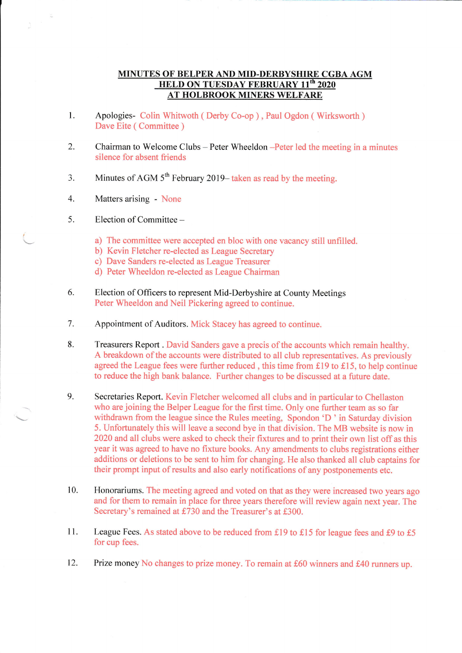## MINUTES OF BELPER AND MID-DERBYSHIRE CGBA AGM HELD ON TUESDAY FEBRUARY 11<sup>th</sup> 2020 AT HOLBROOK MINERS WELFARE

- 1. Apologies- Colin Whitwoth ( Derby Co-op ) , Paul Ogdon ( Wirksworth ) Dave Eite ( Committee )
- 2. Chairman to Welcome Clubs - Peter Wheeldon -Peter led the meeting in a minutes silence for absent friends
- 3. Minutes of AGM  $5<sup>th</sup>$  February 2019–taken as read by the meeting.
- 4. Matters arising - None
- ). Election of Committee -

t

- a) The committee were accepted en bloc with one vacancy still unfilled.
- b) Kevin Fletcher re-elected as League Secretary
- c) Dave Sanders re-elected as League Treasurer
- d) Peter Wheeldon re-elected as League Chairman
- Election of Offrcers to represent Mid-Derbyshire at County Meetings Peter Wheeldon and Neil Pickering agreed to continue. 6.
- Appointment of Auditors. Mick Stacey has agreed to continue. 7.
- Treasurers Report . David Sanders gave a precis of the accounts which remain healthy. A breakdown of the accounts were distributed to all club representatives. As previously agreed the League fees were further reduced, this time from £19 to £15, to help continue to reduce the high bank balance. Further changes to be discussed at a future date. 8.
- Secretaries Report. Kevin Fletcher welcomed all clubs and in particular to Chellaston who are joining the Belper League for the first time. Only one further team as so far withdrawn from the league since the Rules meeting, Spondon 'D ' in Saturday division 5. Unfortunately this will leave a second bye in that division. The MB website is now in 2020 and all clubs were asked to check their fixtures and to print their own list off as this year it was agreed to have no fixture books. Any amendments to clubs registrations either additions or deletions to be sent to him for changing. He also thanked all club captains for their prompt input of results and also early notifications of any postponements etc. 9.
- Honorariums. The meeting agreed and voted on that as they were increased two years ago and for them to remain in place for three years therefore will review again next year. The Secretary's remained at £730 and the Treasurer's at £300. 10.
- League Fees. As stated above to be reduced from £19 to £15 for league fees and £9 to £5 for cup fees. 11.
- Prize money No changes to prize money. To remain at £60 winners and £40 runners up. 12.